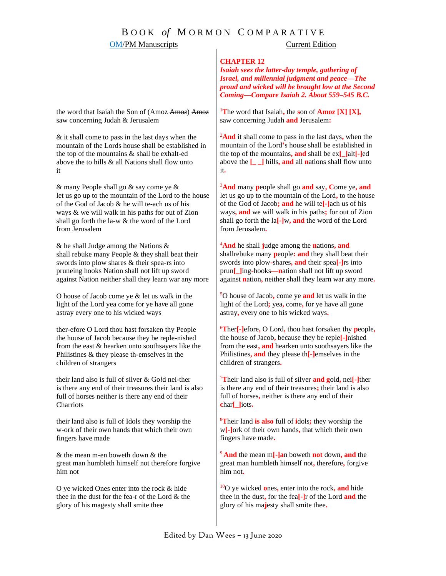# B O O K *of* M O R M O N C O M P A R A T I V E

## **OM/PM Manuscripts** Current Edition

#### **CHAPTER 12**

*Isaiah sees the latter-day temple, gathering of Israel, and millennial judgment and peace—The proud and wicked will be brought low at the Second Coming—Compare Isaiah 2. About 559–545 B.C.*

<sup>1</sup>The word that Isaiah, the son of  $\text{Amoz } [X] [X]$ , saw concerning Judah **and** Jerusalem**:**

<sup>2</sup>**And** it shall come to pass in the last days**,** when the mountain of the Lord**'**s house shall be established in the top of the mountains**, and** shall be ex**[\_]**alt**[-]**ed above the **[\_ \_]** hills**, and** all **n**ations shall flow unto it**.**

<sup>3</sup>**And** many **p**eople shall go **and** say**, C**ome ye**, and** let us go up to the mountain of the Lord**,** to the house of the God of Jacob**; and** he will te**[-]**ach us of his ways**, and** we will walk in his paths**;** for out of Zion shall go forth the la**[-]**w**, and** the word of the Lord from Jerusalem**.**

<sup>4</sup>**And** he shall **j**udge among the **n**ations**, and** shallrebuke many **p**eople**: and** they shall beat their swords into plow**-**shares**, and** their spea**[-]**rs into prun**[\_]**ing**-**hooks**—n**ation shall not lift up sword against **n**ation**,** neither shall they learn war any more**.**

<sup>5</sup>O house of Jacob**,** come ye **and** let us walk in the light of the Lord**;** yea**,** come**,** for ye have all gone astray**,** every one to his wicked ways**.**

<sup>6</sup>**T**her**[-]**efore**,** O Lord**,** thou hast forsaken thy **p**eople**,**  the house of Jacob**,** because they be reple**[-]**nished from the east**, and** hearken unto soothsayers like the Philistines**, and** they please th**[-]**emselves in the children of strangers**.**

<sup>7</sup>**T**heir land also is full of silver **and g**old**,** nei**[-]**ther is there any end of their treasures**;** their land is also full of horses**,** neither is there any end of their **c**har**[\_]**iots**.**

<sup>8</sup>**T**heir land **is also** full of **i**dols**;** they worship the w**[-]**ork of their own hands**,** that which their own fingers have made**.**

<sup>9</sup>**And** the mean m**[-]a**n boweth **not** down**, and** the great man humbleth himself not**,** therefore**,** forgive him not**.**

<sup>10</sup>O ye wicked **o**nes**,** enter into the rock**, and** hide thee in the dust**,** for the fea**[-]**r of the Lord **and** the glory of his ma**j**esty shall smite thee**.**

the word that Isaiah the Son of (Amoz Amo*z*) Amo*z* saw concerning Judah & Jerusalem

& it shall come to pass in the last days when the mountain of the Lords house shall be established in the top of the mountains & shall be exhalt-ed above the  $\pm \theta$  hills  $\&$  all Nations shall flow unto it

& many People shall go & say come ye & let us go up to the mountain of the Lord to the house of the God of Jacob & he will te-ach us of his ways & we will walk in his paths for out of Zion shall go forth the la-w & the word of the Lord from Jerusalem

& he shall Judge among the Nations & shall rebuke many People & they shall beat their swords into plow shares & their spea-rs into pruneing hooks Nation shall not lift up sword against Nation neither shall they learn war any more

O house of Jacob come ye & let us walk in the light of the Lord yea come for ye ha*v*e all gone astray every one to his wicked ways

ther-efore O Lord thou hast forsaken thy People the house of Jacob because they be reple-nished from the east & hearken unto soothsayers like the Philistines & they please th-emselves in the children of strangers

their land also is full of silver & Go*l*d nei-ther is there any end of their treasures their land is also full of horses neither is there any end of their **Charriots** 

their land also is full of Idols they worship the w-ork of their own hands that which their own fingers have made

& the mean m-en boweth down & the great man humbleth himself not therefore forgive him not

O ye wicked Ones enter into the rock & hide thee in the dust for the fea-r of the Lord & the glory of his magesty shall smite thee